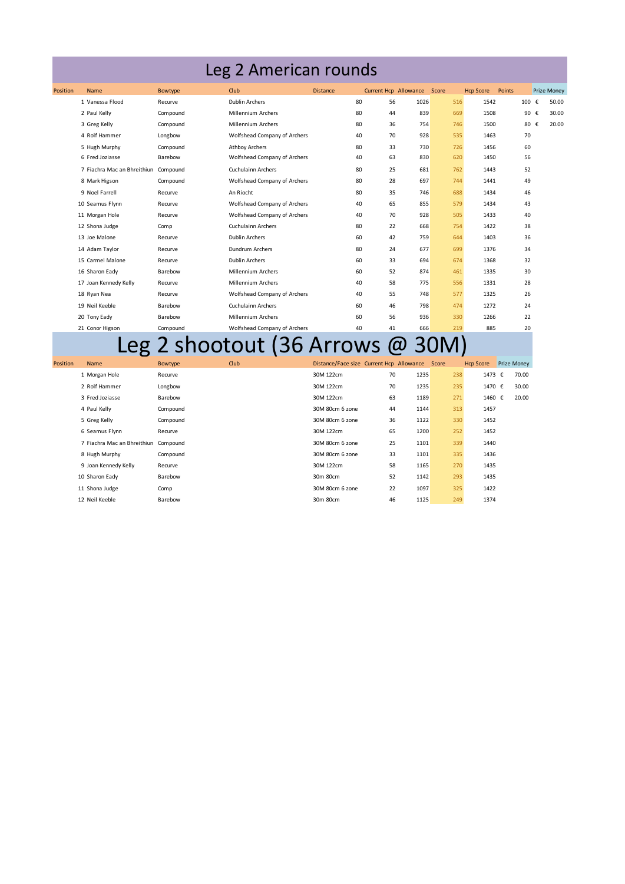## Leg 2 American rounds

| Position | <b>Name</b>                          | Bowtype  | Club                         | <b>Distance</b> | Current Hcp Allowance |      | Score | <b>Hcp Score</b> | Points |       | <b>Prize Money</b> |
|----------|--------------------------------------|----------|------------------------------|-----------------|-----------------------|------|-------|------------------|--------|-------|--------------------|
|          | 1 Vanessa Flood                      | Recurve  | <b>Dublin Archers</b>        | 80              | 56                    | 1026 | 516   | 1542             |        | 100 € | 50.00              |
|          | 2 Paul Kelly                         | Compound | Millennium Archers           | 80              | 44                    | 839  | 669   | 1508             |        | 90 €  | 30.00              |
|          | 3 Greg Kelly                         | Compound | Millennium Archers           | 80              | 36                    | 754  | 746   | 1500             |        | 80 €  | 20.00              |
|          | 4 Rolf Hammer                        | Longbow  | Wolfshead Company of Archers | 40              | 70                    | 928  | 535   | 1463             |        | 70    |                    |
|          | 5 Hugh Murphy                        | Compound | <b>Athbov Archers</b>        | 80              | 33                    | 730  | 726   | 1456             |        | 60    |                    |
|          | 6 Fred Joziasse                      | Barebow  | Wolfshead Company of Archers | 40              | 63                    | 830  | 620   | 1450             |        | 56    |                    |
|          | 7 Fiachra Mac an Bhreithiun Compound |          | <b>Cuchulainn Archers</b>    | 80              | 25                    | 681  | 762   | 1443             |        | 52    |                    |
|          | 8 Mark Higson                        | Compound | Wolfshead Company of Archers | 80              | 28                    | 697  | 744   | 1441             | 49     |       |                    |
|          | 9 Noel Farrell                       | Recurve  | An Riocht                    | 80              | 35                    | 746  | 688   | 1434             |        | 46    |                    |
|          | 10 Seamus Flynn                      | Recurve  | Wolfshead Company of Archers | 40              | 65                    | 855  | 579   | 1434             | 43     |       |                    |
|          | 11 Morgan Hole                       | Recurve  | Wolfshead Company of Archers | 40              | 70                    | 928  | 505   | 1433             |        | 40    |                    |
|          | 12 Shona Judge                       | Comp     | <b>Cuchulainn Archers</b>    | 80              | 22                    | 668  | 754   | 1422             |        | 38    |                    |
|          | 13 Joe Malone                        | Recurve  | <b>Dublin Archers</b>        | 60              | 42                    | 759  | 644   | 1403             |        | 36    |                    |
|          | 14 Adam Taylor                       | Recurve  | Dundrum Archers              | 80              | 24                    | 677  | 699   | 1376             | 34     |       |                    |
|          | 15 Carmel Malone                     | Recurve  | <b>Dublin Archers</b>        | 60              | 33                    | 694  | 674   | 1368             |        | 32    |                    |
|          | 16 Sharon Eady                       | Barebow  | <b>Millennium Archers</b>    | 60              | 52                    | 874  | 461   | 1335             |        | 30    |                    |
|          | 17 Joan Kennedy Kelly                | Recurve  | Millennium Archers           | 40              | 58                    | 775  | 556   | 1331             | 28     |       |                    |
|          | 18 Ryan Nea                          | Recurve  | Wolfshead Company of Archers | 40              | 55                    | 748  | 577   | 1325             |        | 26    |                    |
|          | 19 Neil Keeble                       | Barebow  | <b>Cuchulainn Archers</b>    | 60              | 46                    | 798  | 474   | 1272             | 24     |       |                    |
|          | 20 Tony Eady                         | Barebow  | Millennium Archers           | 60              | 56                    | 936  | 330   | 1266             |        | 22    |                    |
|          | 21 Conor Higson                      | Compound | Wolfshead Company of Archers | 40              | 41                    | 666  | 219   | 885              |        | 20    |                    |

## 21 Conor Higson Compound Wolfshead Company of Archers 40 41 666 219 885 20<br>
Leg 2 shootout (36 Arrows @ 30M)

| Position | <b>Name</b>                          | Bowtype  | Club | Distance/Face size Current Hcp Allowance Score |    |      |     | <b>Hcp Score</b> | <b>Prize Money</b> |
|----------|--------------------------------------|----------|------|------------------------------------------------|----|------|-----|------------------|--------------------|
|          | 1 Morgan Hole                        | Recurve  |      | 30M 122cm                                      | 70 | 1235 | 238 | 1473 €           | 70.00              |
|          | 2 Rolf Hammer                        | Longbow  |      | 30M 122cm                                      | 70 | 1235 | 235 | 1470 €           | 30.00              |
|          | 3 Fred Joziasse                      | Barebow  |      | 30M 122cm                                      | 63 | 1189 | 271 | 1460 €           | 20.00              |
|          | 4 Paul Kelly                         | Compound |      | 30M 80cm 6 zone                                | 44 | 1144 | 313 | 1457             |                    |
|          | 5 Greg Kelly                         | Compound |      | 30M 80cm 6 zone                                | 36 | 1122 | 330 | 1452             |                    |
|          | 6 Seamus Flynn                       | Recurve  |      | 30M 122cm                                      | 65 | 1200 | 252 | 1452             |                    |
|          | 7 Fiachra Mac an Bhreithiun Compound |          |      | 30M 80cm 6 zone                                | 25 | 1101 | 339 | 1440             |                    |
|          | 8 Hugh Murphy                        | Compound |      | 30M 80cm 6 zone                                | 33 | 1101 | 335 | 1436             |                    |
|          | 9 Joan Kennedy Kelly                 | Recurve  |      | 30M 122cm                                      | 58 | 1165 | 270 | 1435             |                    |
|          | 10 Sharon Eady                       | Barebow  |      | 30m 80cm                                       | 52 | 1142 | 293 | 1435             |                    |
|          | 11 Shona Judge                       | Comp     |      | 30M 80cm 6 zone                                | 22 | 1097 | 325 | 1422             |                    |
|          | 12 Neil Keeble                       | Barebow  |      | 30m 80cm                                       | 46 | 1125 | 249 | 1374             |                    |